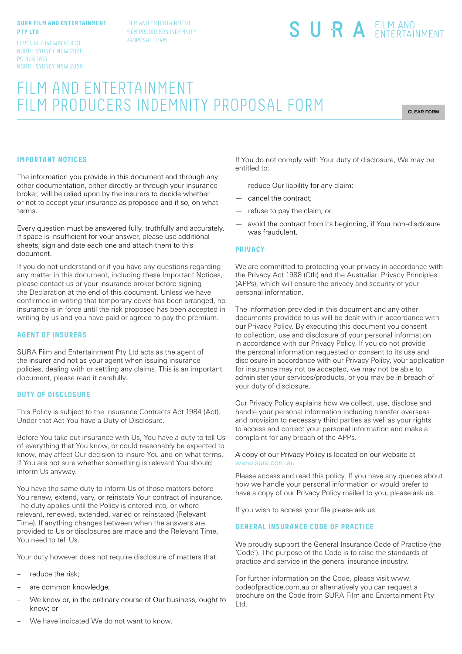#### **SURA FILM AND ENTERTAINMENT PTY LTD**

LEVEL 14 / 141 WALKER ST NORTH SYDNEY NSW 2060 PO BOX 1813 NORTH SYDNEY NSW 2059 FILM AND ENTERTAINMENT FILM PRODUCERS INDEMNITY PROPOSAL FORM

# SURA EILM AND

# FILM AND ENTERTAINMENT FILM PRODUCERS INDEMNITY PROPOSAL FORM

**CLEAR FORM**

# **IMPORTANT NOTICES**

The information you provide in this document and through any other documentation, either directly or through your insurance broker, will be relied upon by the insurers to decide whether or not to accept your insurance as proposed and if so, on what terms.

Every question must be answered fully, truthfully and accurately. If space is insufficient for your answer, please use additional sheets, sign and date each one and attach them to this document.

If you do not understand or if you have any questions regarding any matter in this document, including these Important Notices, please contact us or your insurance broker before signing the Declaration at the end of this document. Unless we have confirmed in writing that temporary cover has been arranged, no insurance is in force until the risk proposed has been accepted in writing by us and you have paid or agreed to pay the premium.

#### **AGENT OF INSURERS**

SURA Film and Entertainment Pty Ltd acts as the agent of the insurer and not as your agent when issuing insurance policies, dealing with or settling any claims. This is an important document, please read it carefully.

#### **DUTY OF DISCLOSURE**

This Policy is subject to the Insurance Contracts Act 1984 (Act). Under that Act You have a Duty of Disclosure.

Before You take out insurance with Us, You have a duty to tell Us of everything that You know, or could reasonably be expected to know, may affect Our decision to insure You and on what terms. If You are not sure whether something is relevant You should inform Us anyway.

You have the same duty to inform Us of those matters before You renew, extend, vary, or reinstate Your contract of insurance. The duty applies until the Policy is entered into, or where relevant, renewed, extended, varied or reinstated (Relevant Time). If anything changes between when the answers are provided to Us or disclosures are made and the Relevant Time, You need to tell Us.

Your duty however does not require disclosure of matters that:

- reduce the risk:
- are common knowledge;
- We know or, in the ordinary course of Our business, ought to know; or

If You do not comply with Your duty of disclosure, We may be entitled to:

- reduce Our liability for any claim;
- cancel the contract;
- refuse to pay the claim; or
- avoid the contract from its beginning, if Your non-disclosure was fraudulent.

#### **PRIVACY**

We are committed to protecting your privacy in accordance with the Privacy Act 1988 (Cth) and the Australian Privacy Principles (APPs), which will ensure the privacy and security of your personal information.

The information provided in this document and any other documents provided to us will be dealt with in accordance with our Privacy Policy. By executing this document you consent to collection, use and disclosure of your personal information in accordance with our Privacy Policy. If you do not provide the personal information requested or consent to its use and disclosure in accordance with our Privacy Policy, your application for insurance may not be accepted, we may not be able to administer your services/products, or you may be in breach of your duty of disclosure.

Our Privacy Policy explains how we collect, use, disclose and handle your personal information including transfer overseas and provision to necessary third parties as well as your rights to access and correct your personal information and make a complaint for any breach of the APPs.

#### A copy of our Privacy Policy is located on our website at www.sura.com.au

Please access and read this policy. If you have any queries about how we handle your personal information or would prefer to have a copy of our Privacy Policy mailed to you, please ask us.

If you wish to access your file please ask us.

### **GENERAL INSURANCE CODE OF PRACTICE**

We proudly support the General Insurance Code of Practice (the 'Code'). The purpose of the Code is to raise the standards of practice and service in the general insurance industry.

For further information on the Code, please visit www. codeofpractice.com.au or alternatively you can request a brochure on the Code from SURA Film and Entertainment Pty Ltd.

We have indicated We do not want to know.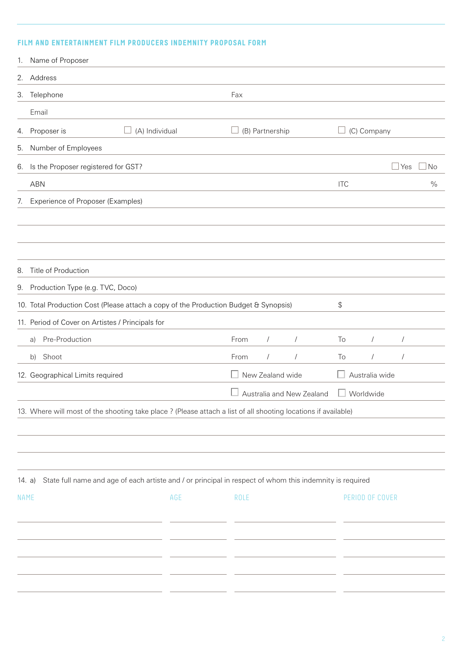# **FILM AND ENTERTAINMENT FILM PRODUCERS INDEMNITY PROPOSAL FORM**

|          | 1. Name of Proposer                                                                                            |                                                                                                          |  |      |                  |                           |            |                 |            |               |
|----------|----------------------------------------------------------------------------------------------------------------|----------------------------------------------------------------------------------------------------------|--|------|------------------|---------------------------|------------|-----------------|------------|---------------|
|          | 2. Address                                                                                                     |                                                                                                          |  |      |                  |                           |            |                 |            |               |
|          | 3. Telephone                                                                                                   |                                                                                                          |  | Fax  |                  |                           |            |                 |            |               |
|          | Email                                                                                                          |                                                                                                          |  |      |                  |                           |            |                 |            |               |
|          | 4. Proposer is                                                                                                 | (A) Individual                                                                                           |  |      | (B) Partnership  |                           |            | (C) Company     |            |               |
|          | 5. Number of Employees                                                                                         |                                                                                                          |  |      |                  |                           |            |                 |            |               |
|          | 6. Is the Proposer registered for GST?                                                                         |                                                                                                          |  |      |                  |                           |            |                 | Yes        | <b>No</b>     |
|          | <b>ABN</b>                                                                                                     |                                                                                                          |  |      |                  |                           | <b>ITC</b> |                 |            | $\frac{0}{0}$ |
|          | 7. Experience of Proposer (Examples)                                                                           |                                                                                                          |  |      |                  |                           |            |                 |            |               |
|          |                                                                                                                |                                                                                                          |  |      |                  |                           |            |                 |            |               |
|          |                                                                                                                |                                                                                                          |  |      |                  |                           |            |                 |            |               |
|          | 8. Title of Production                                                                                         |                                                                                                          |  |      |                  |                           |            |                 |            |               |
|          | 9. Production Type (e.g. TVC, Doco)                                                                            |                                                                                                          |  |      |                  |                           |            |                 |            |               |
|          | 10. Total Production Cost (Please attach a copy of the Production Budget & Synopsis)                           |                                                                                                          |  |      |                  |                           | \$         |                 |            |               |
|          |                                                                                                                | 11. Period of Cover on Artistes / Principals for                                                         |  |      |                  |                           |            |                 |            |               |
|          | Pre-Production<br>a)                                                                                           |                                                                                                          |  | From | $\sqrt{2}$       | $\sqrt{2}$                | To         | $\sqrt{2}$      | $\sqrt{2}$ |               |
|          | Shoot<br>b)                                                                                                    |                                                                                                          |  | From |                  | $\sqrt{2}$                | To         | $\sqrt{2}$      | $\sqrt{2}$ |               |
|          | 12. Geographical Limits required                                                                               |                                                                                                          |  |      | New Zealand wide |                           |            | Australia wide  |            |               |
|          |                                                                                                                |                                                                                                          |  |      |                  | Australia and New Zealand |            | Worldwide       |            |               |
|          | 13. Where will most of the shooting take place ? (Please attach a list of all shooting locations if available) |                                                                                                          |  |      |                  |                           |            |                 |            |               |
|          |                                                                                                                |                                                                                                          |  |      |                  |                           |            |                 |            |               |
|          |                                                                                                                |                                                                                                          |  |      |                  |                           |            |                 |            |               |
|          |                                                                                                                |                                                                                                          |  |      |                  |                           |            |                 |            |               |
| 14. $a)$ |                                                                                                                | State full name and age of each artiste and / or principal in respect of whom this indemnity is required |  |      |                  |                           |            |                 |            |               |
| NAME     |                                                                                                                | AGE                                                                                                      |  | ROLE |                  |                           |            | PERIOD OF COVER |            |               |
|          |                                                                                                                |                                                                                                          |  |      |                  |                           |            |                 |            |               |
|          |                                                                                                                |                                                                                                          |  |      |                  |                           |            |                 |            |               |
|          |                                                                                                                |                                                                                                          |  |      |                  |                           |            |                 |            |               |
|          |                                                                                                                |                                                                                                          |  |      |                  |                           |            |                 |            |               |
|          |                                                                                                                |                                                                                                          |  |      |                  |                           |            |                 |            |               |
|          |                                                                                                                |                                                                                                          |  |      |                  |                           |            |                 |            |               |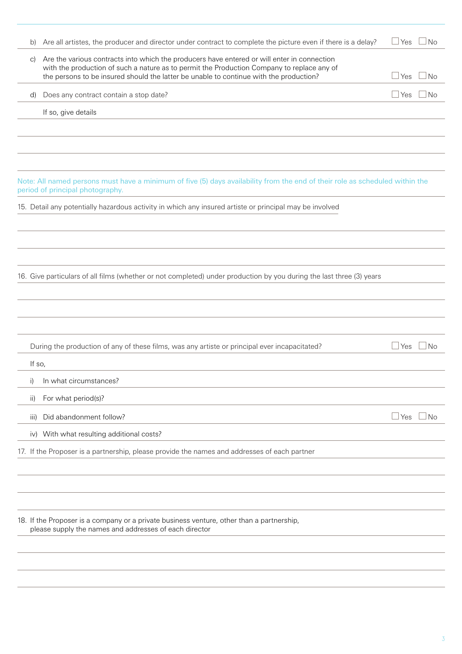| b)     | Are all artistes, the producer and director under contract to complete the picture even if there is a delay?                                                                                                                                                                        | $\Box$ Yes | <b>No</b> |
|--------|-------------------------------------------------------------------------------------------------------------------------------------------------------------------------------------------------------------------------------------------------------------------------------------|------------|-----------|
| C)     | Are the various contracts into which the producers have entered or will enter in connection<br>with the production of such a nature as to permit the Production Company to replace any of<br>the persons to be insured should the latter be unable to continue with the production? | <b>Yes</b> | <b>No</b> |
| d)     | Does any contract contain a stop date?                                                                                                                                                                                                                                              | $\Box$ Yes | No        |
|        | If so, give details                                                                                                                                                                                                                                                                 |            |           |
|        |                                                                                                                                                                                                                                                                                     |            |           |
|        |                                                                                                                                                                                                                                                                                     |            |           |
|        |                                                                                                                                                                                                                                                                                     |            |           |
|        | Note: All named persons must have a minimum of five (5) days availability from the end of their role as scheduled within the<br>period of principal photography.                                                                                                                    |            |           |
|        | 15. Detail any potentially hazardous activity in which any insured artiste or principal may be involved                                                                                                                                                                             |            |           |
|        |                                                                                                                                                                                                                                                                                     |            |           |
|        |                                                                                                                                                                                                                                                                                     |            |           |
|        |                                                                                                                                                                                                                                                                                     |            |           |
|        | 16. Give particulars of all films (whether or not completed) under production by you during the last three (3) years                                                                                                                                                                |            |           |
|        |                                                                                                                                                                                                                                                                                     |            |           |
|        |                                                                                                                                                                                                                                                                                     |            |           |
|        |                                                                                                                                                                                                                                                                                     |            |           |
|        | During the production of any of these films, was any artiste or principal ever incapacitated?                                                                                                                                                                                       | $\Box$ Yes | <b>No</b> |
| If so, |                                                                                                                                                                                                                                                                                     |            |           |
| i)     | In what circumstances?                                                                                                                                                                                                                                                              |            |           |
| ii)    | For what period(s)?                                                                                                                                                                                                                                                                 |            |           |
| iii)   | Did abandonment follow?                                                                                                                                                                                                                                                             | $\Box$ Yes | No        |
|        | iv) With what resulting additional costs?                                                                                                                                                                                                                                           |            |           |
|        | 17. If the Proposer is a partnership, please provide the names and addresses of each partner                                                                                                                                                                                        |            |           |
|        |                                                                                                                                                                                                                                                                                     |            |           |
|        |                                                                                                                                                                                                                                                                                     |            |           |
|        |                                                                                                                                                                                                                                                                                     |            |           |
|        | 18. If the Proposer is a company or a private business venture, other than a partnership,<br>please supply the names and addresses of each director                                                                                                                                 |            |           |
|        |                                                                                                                                                                                                                                                                                     |            |           |
|        |                                                                                                                                                                                                                                                                                     |            |           |
|        |                                                                                                                                                                                                                                                                                     |            |           |
|        |                                                                                                                                                                                                                                                                                     |            |           |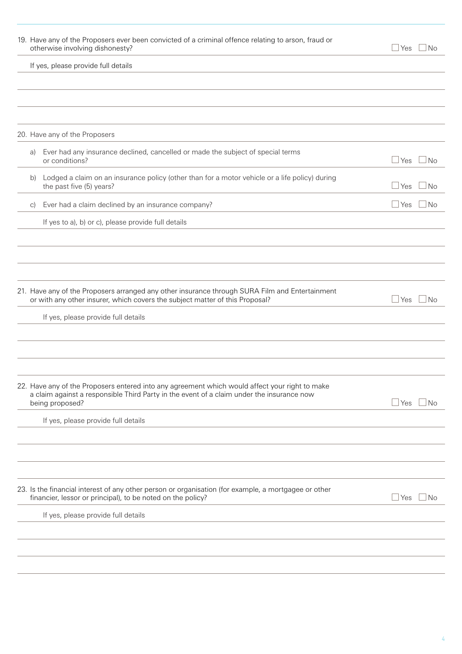|            | 19. Have any of the Proposers ever been convicted of a criminal offence relating to arson, fraud or<br>otherwise involving dishonesty?                                                                         | No.<br>⊥Yes               |
|------------|----------------------------------------------------------------------------------------------------------------------------------------------------------------------------------------------------------------|---------------------------|
|            | If yes, please provide full details                                                                                                                                                                            |                           |
|            |                                                                                                                                                                                                                |                           |
|            |                                                                                                                                                                                                                |                           |
|            |                                                                                                                                                                                                                |                           |
|            | 20. Have any of the Proposers                                                                                                                                                                                  |                           |
| a)         | Ever had any insurance declined, cancelled or made the subject of special terms<br>or conditions?                                                                                                              | $\sqcup$ Yes<br>l No      |
| b)         | Lodged a claim on an insurance policy (other than for a motor vehicle or a life policy) during<br>the past five (5) years?                                                                                     | $\Box$ Yes<br>No          |
| $\vert$ C) | Ever had a claim declined by an insurance company?                                                                                                                                                             | $\Box$ Yes<br>No          |
|            | If yes to a), b) or c), please provide full details                                                                                                                                                            |                           |
|            |                                                                                                                                                                                                                |                           |
|            |                                                                                                                                                                                                                |                           |
|            |                                                                                                                                                                                                                |                           |
|            | 21. Have any of the Proposers arranged any other insurance through SURA Film and Entertainment<br>or with any other insurer, which covers the subject matter of this Proposal?                                 | $\sqcup$ Yes<br>No        |
|            | If yes, please provide full details                                                                                                                                                                            |                           |
|            |                                                                                                                                                                                                                |                           |
|            |                                                                                                                                                                                                                |                           |
|            |                                                                                                                                                                                                                |                           |
|            | 22. Have any of the Proposers entered into any agreement which would affect your right to make<br>a claim against a responsible Third Party in the event of a claim under the insurance now<br>being proposed? | $\sqcup$ Yes<br>  No      |
|            | If yes, please provide full details                                                                                                                                                                            |                           |
|            |                                                                                                                                                                                                                |                           |
|            |                                                                                                                                                                                                                |                           |
|            |                                                                                                                                                                                                                |                           |
|            | 23. Is the financial interest of any other person or organisation (for example, a mortgagee or other<br>financier, lessor or principal), to be noted on the policy?                                            | $\sqcup$ Yes<br><b>No</b> |
|            | If yes, please provide full details                                                                                                                                                                            |                           |
|            |                                                                                                                                                                                                                |                           |
|            |                                                                                                                                                                                                                |                           |
|            |                                                                                                                                                                                                                |                           |
|            |                                                                                                                                                                                                                |                           |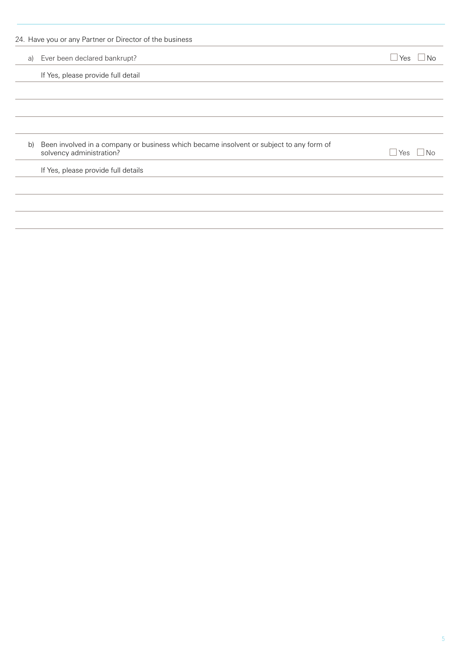|    | 24. Have you or any Partner or Director of the business                                                             |            |
|----|---------------------------------------------------------------------------------------------------------------------|------------|
| a) | Ever been declared bankrupt?                                                                                        | ⊿Yes<br>No |
|    | If Yes, please provide full detail                                                                                  |            |
|    |                                                                                                                     |            |
|    |                                                                                                                     |            |
|    |                                                                                                                     |            |
| b) | Been involved in a company or business which became insolvent or subject to any form of<br>solvency administration? | Yes<br>No  |
|    | If Yes, please provide full details                                                                                 |            |
|    |                                                                                                                     |            |
|    |                                                                                                                     |            |
|    |                                                                                                                     |            |